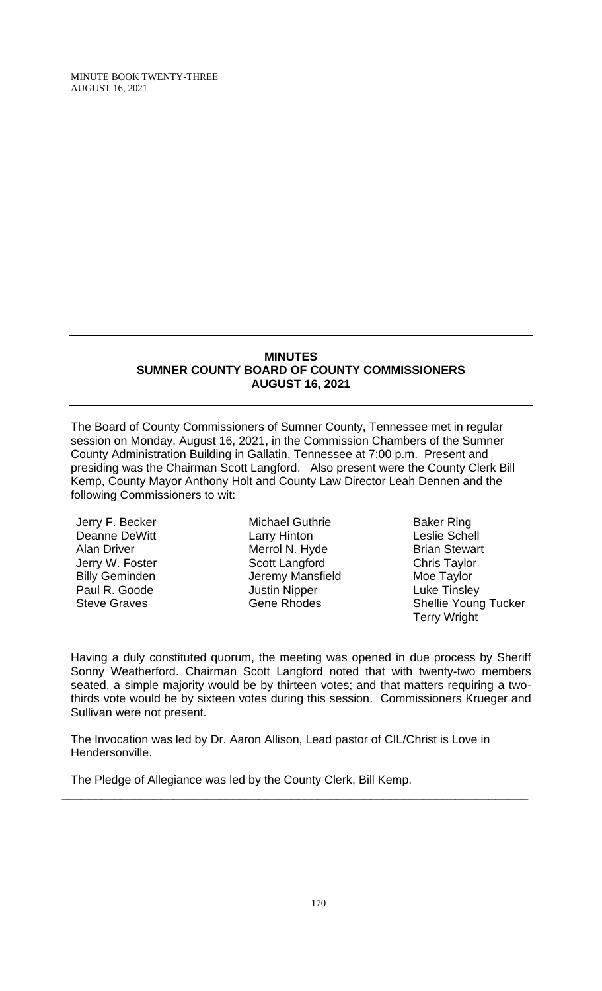#### **MINUTES SUMNER COUNTY BOARD OF COUNTY COMMISSIONERS AUGUST 16, 2021**

The Board of County Commissioners of Sumner County, Tennessee met in regular session on Monday, August 16, 2021, in the Commission Chambers of the Sumner County Administration Building in Gallatin, Tennessee at 7:00 p.m. Present and presiding was the Chairman Scott Langford. Also present were the County Clerk Bill Kemp, County Mayor Anthony Holt and County Law Director Leah Dennen and the following Commissioners to wit:

Jerry F. Becker Deanne DeWitt Alan Driver Jerry W. Foster Billy Geminden Paul R. Goode Steve Graves

Michael Guthrie Larry Hinton Merrol N. Hyde Scott Langford Jeremy Mansfield Justin Nipper Gene Rhodes

Baker Ring Leslie Schell Brian Stewart Chris Taylor Moe Taylor Luke Tinsley Shellie Young Tucker Terry Wright

Having a duly constituted quorum, the meeting was opened in due process by Sheriff Sonny Weatherford. Chairman Scott Langford noted that with twenty-two members seated, a simple majority would be by thirteen votes; and that matters requiring a twothirds vote would be by sixteen votes during this session. Commissioners Krueger and Sullivan were not present.

The Invocation was led by Dr. Aaron Allison, Lead pastor of CIL/Christ is Love in Hendersonville.

\_\_\_\_\_\_\_\_\_\_\_\_\_\_\_\_\_\_\_\_\_\_\_\_\_\_\_\_\_\_\_\_\_\_\_\_\_\_\_\_\_\_\_\_\_\_\_\_\_\_\_\_\_\_\_\_\_\_\_\_\_\_\_\_\_\_\_\_\_\_\_

The Pledge of Allegiance was led by the County Clerk, Bill Kemp.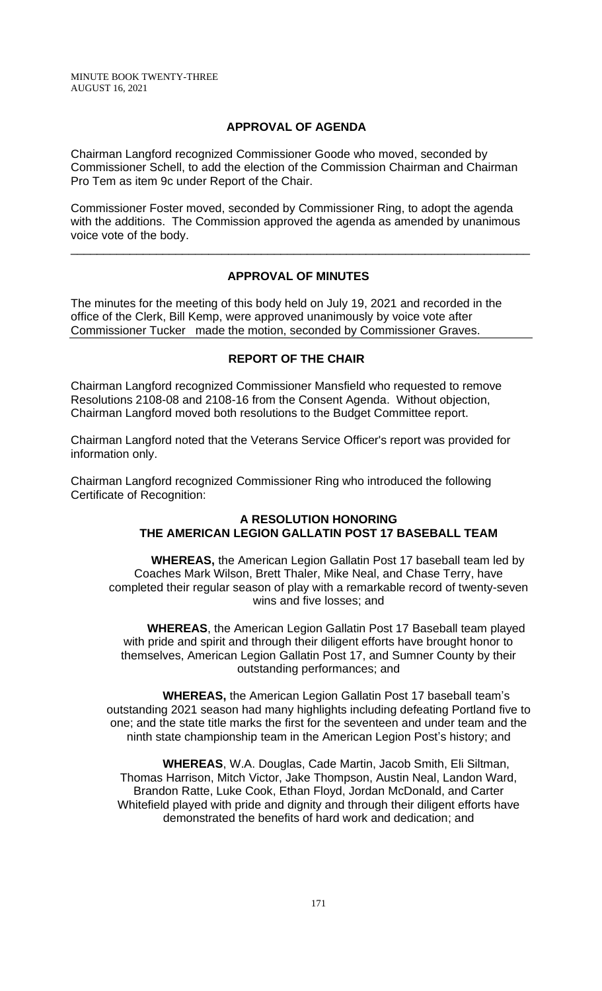### **APPROVAL OF AGENDA**

Chairman Langford recognized Commissioner Goode who moved, seconded by Commissioner Schell, to add the election of the Commission Chairman and Chairman Pro Tem as item 9c under Report of the Chair.

Commissioner Foster moved, seconded by Commissioner Ring, to adopt the agenda with the additions. The Commission approved the agenda as amended by unanimous voice vote of the body.

### **APPROVAL OF MINUTES**

\_\_\_\_\_\_\_\_\_\_\_\_\_\_\_\_\_\_\_\_\_\_\_\_\_\_\_\_\_\_\_\_\_\_\_\_\_\_\_\_\_\_\_\_\_\_\_\_\_\_\_\_\_\_\_\_\_\_\_\_\_\_\_\_\_\_\_\_\_\_

The minutes for the meeting of this body held on July 19, 2021 and recorded in the office of the Clerk, Bill Kemp, were approved unanimously by voice vote after Commissioner Tucker made the motion, seconded by Commissioner Graves.

# **REPORT OF THE CHAIR**

Chairman Langford recognized Commissioner Mansfield who requested to remove Resolutions 2108-08 and 2108-16 from the Consent Agenda. Without objection, Chairman Langford moved both resolutions to the Budget Committee report.

Chairman Langford noted that the Veterans Service Officer's report was provided for information only.

Chairman Langford recognized Commissioner Ring who introduced the following Certificate of Recognition:

# **A RESOLUTION HONORING THE AMERICAN LEGION GALLATIN POST 17 BASEBALL TEAM**

**WHEREAS,** the American Legion Gallatin Post 17 baseball team led by Coaches Mark Wilson, Brett Thaler, Mike Neal, and Chase Terry, have completed their regular season of play with a remarkable record of twenty-seven wins and five losses; and

**WHEREAS**, the American Legion Gallatin Post 17 Baseball team played with pride and spirit and through their diligent efforts have brought honor to themselves, American Legion Gallatin Post 17, and Sumner County by their outstanding performances; and

**WHEREAS,** the American Legion Gallatin Post 17 baseball team's outstanding 2021 season had many highlights including defeating Portland five to one; and the state title marks the first for the seventeen and under team and the ninth state championship team in the American Legion Post's history; and

**WHEREAS**, W.A. Douglas, Cade Martin, Jacob Smith, Eli Siltman, Thomas Harrison, Mitch Victor, Jake Thompson, Austin Neal, Landon Ward, Brandon Ratte, Luke Cook, Ethan Floyd, Jordan McDonald, and Carter Whitefield played with pride and dignity and through their diligent efforts have demonstrated the benefits of hard work and dedication; and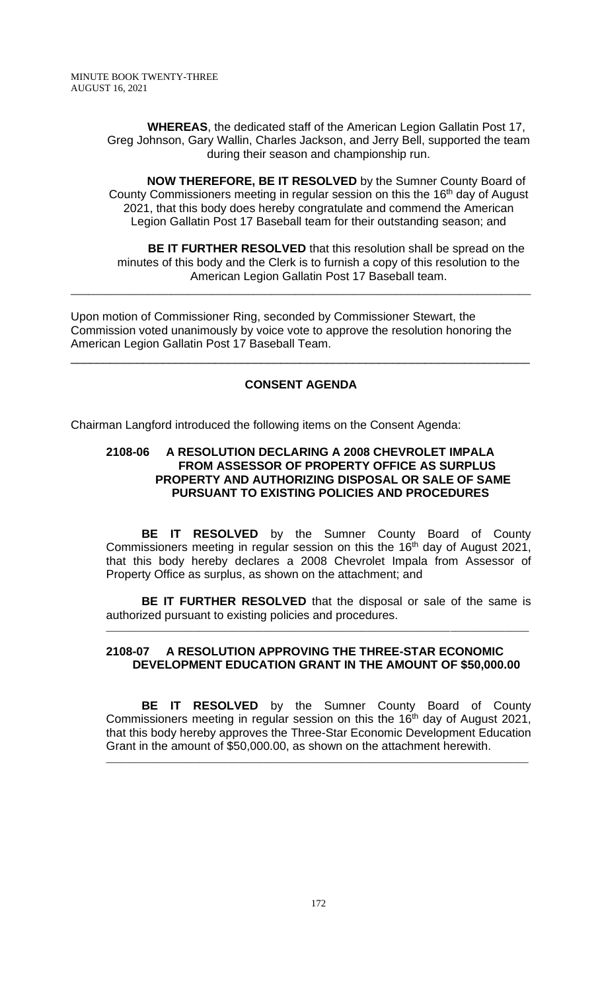**WHEREAS**, the dedicated staff of the American Legion Gallatin Post 17, Greg Johnson, Gary Wallin, Charles Jackson, and Jerry Bell, supported the team during their season and championship run.

**NOW THEREFORE, BE IT RESOLVED** by the Sumner County Board of County Commissioners meeting in regular session on this the 16<sup>th</sup> day of August 2021, that this body does hereby congratulate and commend the American Legion Gallatin Post 17 Baseball team for their outstanding season; and

**BE IT FURTHER RESOLVED** that this resolution shall be spread on the minutes of this body and the Clerk is to furnish a copy of this resolution to the American Legion Gallatin Post 17 Baseball team.

Upon motion of Commissioner Ring, seconded by Commissioner Stewart, the Commission voted unanimously by voice vote to approve the resolution honoring the American Legion Gallatin Post 17 Baseball Team.

\_\_\_\_\_\_\_\_\_\_\_\_\_\_\_\_\_\_\_\_\_\_\_\_\_\_\_\_\_\_\_\_\_\_\_\_\_\_\_\_\_\_\_\_\_\_\_\_\_\_\_\_\_\_\_\_\_\_\_\_\_\_\_\_\_\_\_\_\_\_\_\_\_\_\_\_\_\_

# **CONSENT AGENDA**

\_\_\_\_\_\_\_\_\_\_\_\_\_\_\_\_\_\_\_\_\_\_\_\_\_\_\_\_\_\_\_\_\_\_\_\_\_\_\_\_\_\_\_\_\_\_\_\_\_\_\_\_\_\_\_\_\_\_\_\_\_\_\_\_\_\_\_\_\_\_

Chairman Langford introduced the following items on the Consent Agenda:

### **2108-06 A RESOLUTION DECLARING A 2008 CHEVROLET IMPALA FROM ASSESSOR OF PROPERTY OFFICE AS SURPLUS PROPERTY AND AUTHORIZING DISPOSAL OR SALE OF SAME PURSUANT TO EXISTING POLICIES AND PROCEDURES**

**BE IT RESOLVED** by the Sumner County Board of County Commissioners meeting in regular session on this the 16<sup>th</sup> day of August 2021, that this body hereby declares a 2008 Chevrolet Impala from Assessor of Property Office as surplus, as shown on the attachment; and

**BE IT FURTHER RESOLVED** that the disposal or sale of the same is authorized pursuant to existing policies and procedures.

\_\_\_\_\_\_\_\_\_\_\_\_\_\_\_\_\_\_\_\_\_\_\_\_\_\_\_\_\_\_\_\_\_\_\_\_\_\_\_\_\_\_\_\_\_\_\_\_\_\_\_\_\_\_\_\_\_\_\_\_\_\_\_\_\_\_\_\_\_\_\_\_\_\_\_\_\_\_\_\_\_\_\_\_\_\_

# **2108-07 A RESOLUTION APPROVING THE THREE-STAR ECONOMIC DEVELOPMENT EDUCATION GRANT IN THE AMOUNT OF \$50,000.00**

**BE IT RESOLVED** by the Sumner County Board of County Commissioners meeting in regular session on this the 16<sup>th</sup> day of August 2021, that this body hereby approves the Three-Star Economic Development Education Grant in the amount of \$50,000.00, as shown on the attachment herewith.

\_\_\_\_\_\_\_\_\_\_\_\_\_\_\_\_\_\_\_\_\_\_\_\_\_\_\_\_\_\_\_\_\_\_\_\_\_\_\_\_\_\_\_\_\_\_\_\_\_\_\_\_\_\_\_\_\_\_\_\_\_\_\_\_\_\_\_\_\_\_\_\_\_\_\_\_\_\_\_\_\_\_\_\_\_\_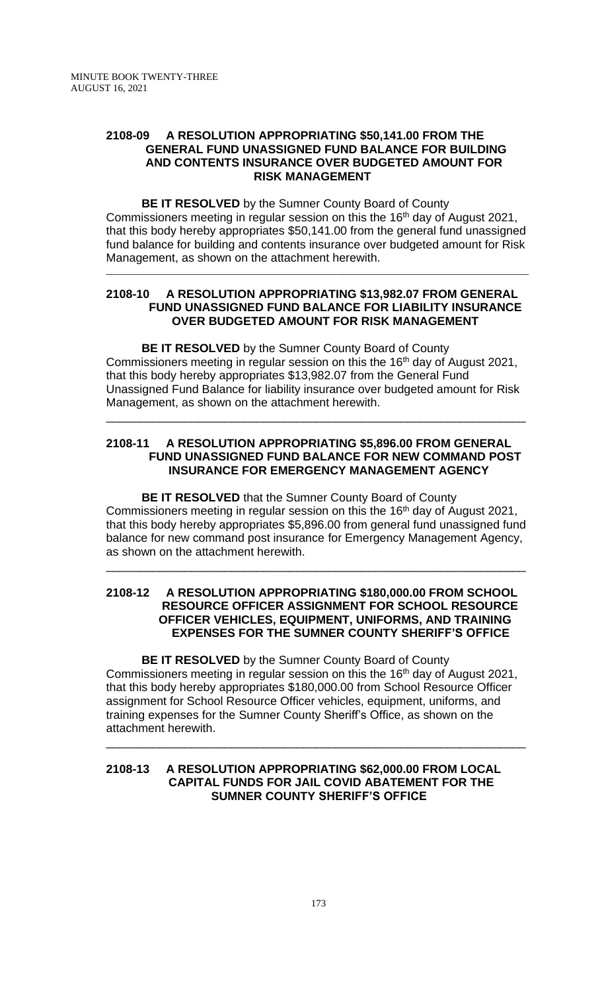### **2108-09 A RESOLUTION APPROPRIATING \$50,141.00 FROM THE GENERAL FUND UNASSIGNED FUND BALANCE FOR BUILDING AND CONTENTS INSURANCE OVER BUDGETED AMOUNT FOR RISK MANAGEMENT**

**BE IT RESOLVED** by the Sumner County Board of County Commissioners meeting in regular session on this the 16<sup>th</sup> day of August 2021, that this body hereby appropriates \$50,141.00 from the general fund unassigned fund balance for building and contents insurance over budgeted amount for Risk Management, as shown on the attachment herewith.

\_\_\_\_\_\_\_\_\_\_\_\_\_\_\_\_\_\_\_\_\_\_\_\_\_\_\_\_\_\_\_\_\_\_\_\_\_\_\_\_\_\_\_\_\_\_\_\_\_\_\_\_\_\_\_\_\_\_\_\_\_\_\_\_\_\_\_\_\_\_\_\_\_\_\_\_\_\_\_\_\_\_\_\_\_\_

### **2108-10 A RESOLUTION APPROPRIATING \$13,982.07 FROM GENERAL FUND UNASSIGNED FUND BALANCE FOR LIABILITY INSURANCE OVER BUDGETED AMOUNT FOR RISK MANAGEMENT**

**BE IT RESOLVED** by the Sumner County Board of County Commissioners meeting in regular session on this the 16<sup>th</sup> day of August 2021, that this body hereby appropriates \$13,982.07 from the General Fund Unassigned Fund Balance for liability insurance over budgeted amount for Risk Management, as shown on the attachment herewith.

### **2108-11 A RESOLUTION APPROPRIATING \$5,896.00 FROM GENERAL FUND UNASSIGNED FUND BALANCE FOR NEW COMMAND POST INSURANCE FOR EMERGENCY MANAGEMENT AGENCY**

\_\_\_\_\_\_\_\_\_\_\_\_\_\_\_\_\_\_\_\_\_\_\_\_\_\_\_\_\_\_\_\_\_\_\_\_\_\_\_\_\_\_\_\_\_\_\_\_\_\_\_\_\_\_\_\_\_\_\_\_\_\_\_\_

**BE IT RESOLVED** that the Sumner County Board of County Commissioners meeting in regular session on this the 16<sup>th</sup> day of August 2021, that this body hereby appropriates \$5,896.00 from general fund unassigned fund balance for new command post insurance for Emergency Management Agency, as shown on the attachment herewith.

\_\_\_\_\_\_\_\_\_\_\_\_\_\_\_\_\_\_\_\_\_\_\_\_\_\_\_\_\_\_\_\_\_\_\_\_\_\_\_\_\_\_\_\_\_\_\_\_\_\_\_\_\_\_\_\_\_\_\_\_\_\_\_\_

### **2108-12 A RESOLUTION APPROPRIATING \$180,000.00 FROM SCHOOL RESOURCE OFFICER ASSIGNMENT FOR SCHOOL RESOURCE OFFICER VEHICLES, EQUIPMENT, UNIFORMS, AND TRAINING EXPENSES FOR THE SUMNER COUNTY SHERIFF'S OFFICE**

**BE IT RESOLVED** by the Sumner County Board of County Commissioners meeting in regular session on this the 16<sup>th</sup> day of August 2021, that this body hereby appropriates \$180,000.00 from School Resource Officer assignment for School Resource Officer vehicles, equipment, uniforms, and training expenses for the Sumner County Sheriff's Office, as shown on the attachment herewith.

\_\_\_\_\_\_\_\_\_\_\_\_\_\_\_\_\_\_\_\_\_\_\_\_\_\_\_\_\_\_\_\_\_\_\_\_\_\_\_\_\_\_\_\_\_\_\_\_\_\_\_\_\_\_\_\_\_\_\_\_\_\_\_\_

### **2108-13 A RESOLUTION APPROPRIATING \$62,000.00 FROM LOCAL CAPITAL FUNDS FOR JAIL COVID ABATEMENT FOR THE SUMNER COUNTY SHERIFF'S OFFICE**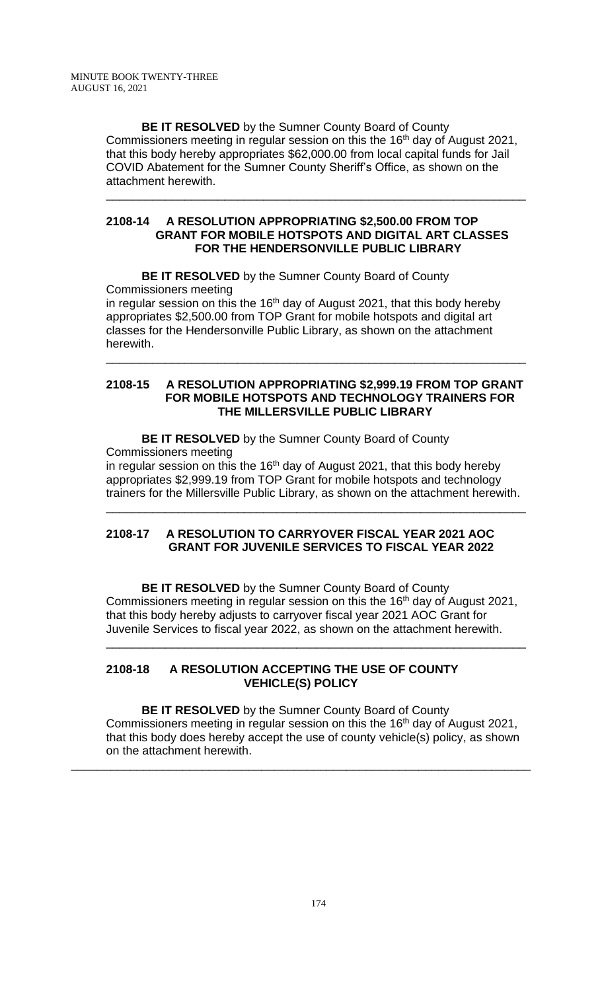**BE IT RESOLVED** by the Sumner County Board of County Commissioners meeting in regular session on this the 16<sup>th</sup> day of August 2021, that this body hereby appropriates \$62,000.00 from local capital funds for Jail COVID Abatement for the Sumner County Sheriff's Office, as shown on the attachment herewith.

\_\_\_\_\_\_\_\_\_\_\_\_\_\_\_\_\_\_\_\_\_\_\_\_\_\_\_\_\_\_\_\_\_\_\_\_\_\_\_\_\_\_\_\_\_\_\_\_\_\_\_\_\_\_\_\_\_\_\_\_\_\_\_\_

### **2108-14 A RESOLUTION APPROPRIATING \$2,500.00 FROM TOP GRANT FOR MOBILE HOTSPOTS AND DIGITAL ART CLASSES FOR THE HENDERSONVILLE PUBLIC LIBRARY**

**BE IT RESOLVED** by the Sumner County Board of County Commissioners meeting in regular session on this the 16<sup>th</sup> day of August 2021, that this body hereby appropriates \$2,500.00 from TOP Grant for mobile hotspots and digital art classes for the Hendersonville Public Library, as shown on the attachment herewith.

### **2108-15 A RESOLUTION APPROPRIATING \$2,999.19 FROM TOP GRANT FOR MOBILE HOTSPOTS AND TECHNOLOGY TRAINERS FOR THE MILLERSVILLE PUBLIC LIBRARY**

\_\_\_\_\_\_\_\_\_\_\_\_\_\_\_\_\_\_\_\_\_\_\_\_\_\_\_\_\_\_\_\_\_\_\_\_\_\_\_\_\_\_\_\_\_\_\_\_\_\_\_\_\_\_\_\_\_\_\_\_\_\_\_\_

**BE IT RESOLVED** by the Sumner County Board of County Commissioners meeting in regular session on this the 16<sup>th</sup> day of August 2021, that this body hereby appropriates \$2,999.19 from TOP Grant for mobile hotspots and technology

trainers for the Millersville Public Library, as shown on the attachment herewith. \_\_\_\_\_\_\_\_\_\_\_\_\_\_\_\_\_\_\_\_\_\_\_\_\_\_\_\_\_\_\_\_\_\_\_\_\_\_\_\_\_\_\_\_\_\_\_\_\_\_\_\_\_\_\_\_\_\_\_\_\_\_\_\_

# **2108-17 A RESOLUTION TO CARRYOVER FISCAL YEAR 2021 AOC GRANT FOR JUVENILE SERVICES TO FISCAL YEAR 2022**

**BE IT RESOLVED** by the Sumner County Board of County Commissioners meeting in regular session on this the 16<sup>th</sup> day of August 2021, that this body hereby adjusts to carryover fiscal year 2021 AOC Grant for Juvenile Services to fiscal year 2022, as shown on the attachment herewith.

\_\_\_\_\_\_\_\_\_\_\_\_\_\_\_\_\_\_\_\_\_\_\_\_\_\_\_\_\_\_\_\_\_\_\_\_\_\_\_\_\_\_\_\_\_\_\_\_\_\_\_\_\_\_\_\_\_\_\_\_\_\_\_\_

# **2108-18 A RESOLUTION ACCEPTING THE USE OF COUNTY VEHICLE(S) POLICY**

**BE IT RESOLVED** by the Sumner County Board of County Commissioners meeting in regular session on this the 16<sup>th</sup> day of August 2021, that this body does hereby accept the use of county vehicle(s) policy, as shown on the attachment herewith.

\_\_\_\_\_\_\_\_\_\_\_\_\_\_\_\_\_\_\_\_\_\_\_\_\_\_\_\_\_\_\_\_\_\_\_\_\_\_\_\_\_\_\_\_\_\_\_\_\_\_\_\_\_\_\_\_\_\_\_\_\_\_\_\_\_\_\_\_\_\_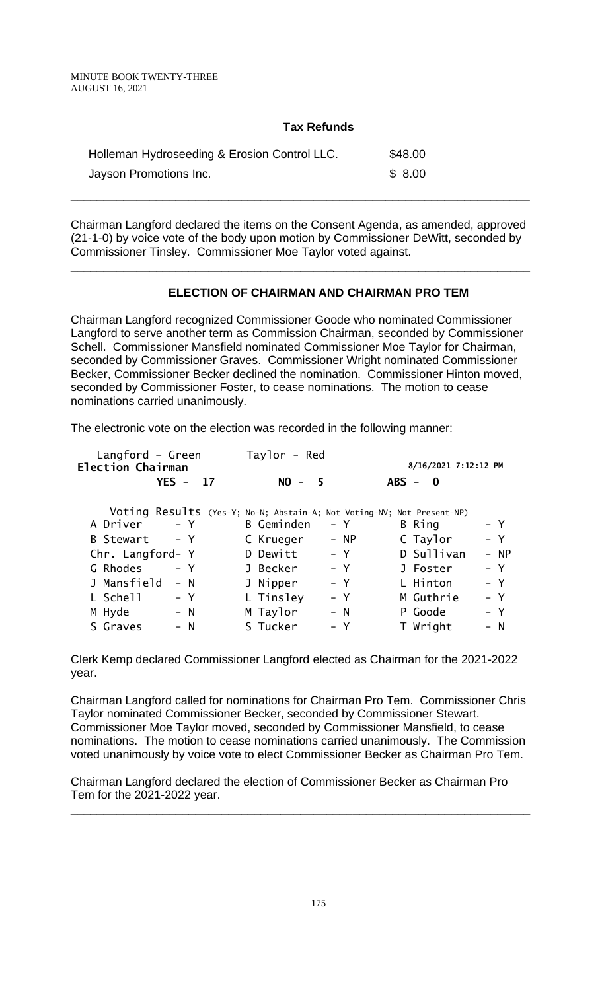### **Tax Refunds**

| Holleman Hydroseeding & Erosion Control LLC. | \$48.00 |
|----------------------------------------------|---------|
| Jayson Promotions Inc.                       | \$8.00  |

Chairman Langford declared the items on the Consent Agenda, as amended, approved (21-1-0) by voice vote of the body upon motion by Commissioner DeWitt, seconded by Commissioner Tinsley. Commissioner Moe Taylor voted against.

\_\_\_\_\_\_\_\_\_\_\_\_\_\_\_\_\_\_\_\_\_\_\_\_\_\_\_\_\_\_\_\_\_\_\_\_\_\_\_\_\_\_\_\_\_\_\_\_\_\_\_\_\_\_\_\_\_\_\_\_\_\_\_\_\_\_\_\_\_\_

\_\_\_\_\_\_\_\_\_\_\_\_\_\_\_\_\_\_\_\_\_\_\_\_\_\_\_\_\_\_\_\_\_\_\_\_\_\_\_\_\_\_\_\_\_\_\_\_\_\_\_\_\_\_\_\_\_\_\_\_\_\_\_\_\_\_\_\_\_\_

# **ELECTION OF CHAIRMAN AND CHAIRMAN PRO TEM**

Chairman Langford recognized Commissioner Goode who nominated Commissioner Langford to serve another term as Commission Chairman, seconded by Commissioner Schell. Commissioner Mansfield nominated Commissioner Moe Taylor for Chairman, seconded by Commissioner Graves. Commissioner Wright nominated Commissioner Becker, Commissioner Becker declined the nomination. Commissioner Hinton moved, seconded by Commissioner Foster, to cease nominations. The motion to cease nominations carried unanimously.

The electronic vote on the election was recorded in the following manner:

| Langford $-$ Green<br><b>Election Chairman</b> | Taylor - Red                                                           | 8/16/2021 7:12:12 PM |
|------------------------------------------------|------------------------------------------------------------------------|----------------------|
| $YES - 17$                                     | $NO -$<br>- 5                                                          | $ABS - 0$            |
|                                                | Voting Results (Yes-Y; No-N; Abstain-A; Not Voting-NV; Not Present-NP) |                      |
| A Driver                                       | <b>B</b> Geminden                                                      | – Y                  |
| $- Y$                                          | – Y                                                                    | B Ring               |
| B Stewart                                      | $- NP$                                                                 | $- Y$                |
| – Y                                            | C Krueger                                                              | C Taylor             |
| Chr. Langford- Y                               | $- Y$<br>D Dewitt                                                      | D Sullivan<br>$- NP$ |
| G Rhodes                                       | – Y                                                                    | $- Y$                |
| $- Y$                                          | J Becker                                                               | J Foster             |
| J Mansfield                                    | $- Y$                                                                  | L Hinton             |
| $- N$                                          | J Nipper                                                               | – Y                  |
| L Schell                                       | L Tinsley                                                              | $- Y$                |
| – Y                                            | $- Y$                                                                  | M Guthrie            |
| $- N$                                          | $- N$                                                                  | P Goode              |
| M Hyde                                         | M Taylor                                                               | – Y                  |
| $- N$                                          | S Tucker                                                               | T Wright             |
| S Graves                                       | – Y                                                                    | – N                  |

Clerk Kemp declared Commissioner Langford elected as Chairman for the 2021-2022 year.

Chairman Langford called for nominations for Chairman Pro Tem. Commissioner Chris Taylor nominated Commissioner Becker, seconded by Commissioner Stewart. Commissioner Moe Taylor moved, seconded by Commissioner Mansfield, to cease nominations. The motion to cease nominations carried unanimously. The Commission voted unanimously by voice vote to elect Commissioner Becker as Chairman Pro Tem.

Chairman Langford declared the election of Commissioner Becker as Chairman Pro Tem for the 2021-2022 year.

\_\_\_\_\_\_\_\_\_\_\_\_\_\_\_\_\_\_\_\_\_\_\_\_\_\_\_\_\_\_\_\_\_\_\_\_\_\_\_\_\_\_\_\_\_\_\_\_\_\_\_\_\_\_\_\_\_\_\_\_\_\_\_\_\_\_\_\_\_\_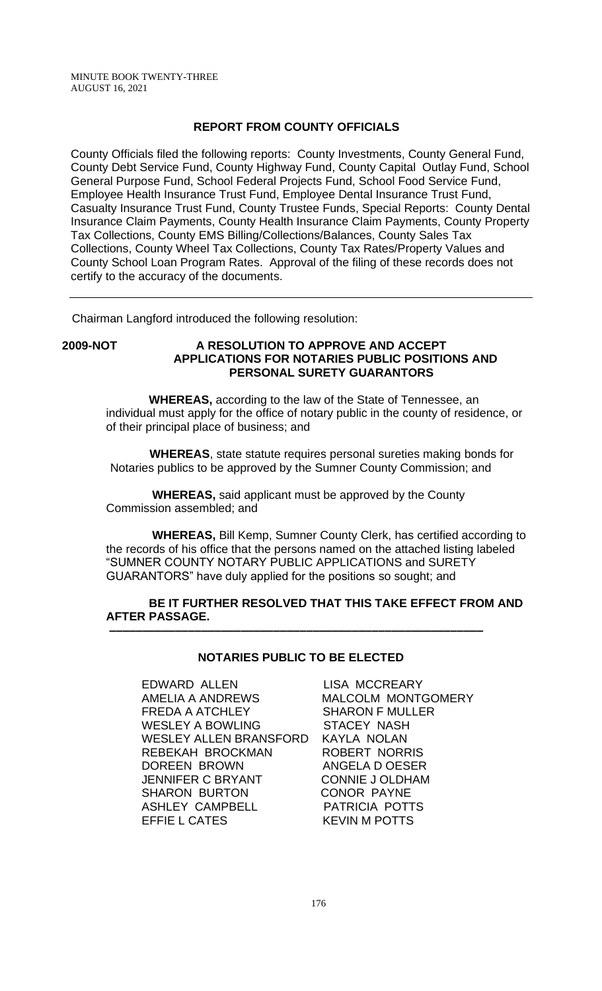### **REPORT FROM COUNTY OFFICIALS**

County Officials filed the following reports: County Investments, County General Fund, County Debt Service Fund, County Highway Fund, County Capital Outlay Fund, School General Purpose Fund, School Federal Projects Fund, School Food Service Fund, Employee Health Insurance Trust Fund, Employee Dental Insurance Trust Fund, Casualty Insurance Trust Fund, County Trustee Funds, Special Reports: County Dental Insurance Claim Payments, County Health Insurance Claim Payments, County Property Tax Collections, County EMS Billing/Collections/Balances, County Sales Tax Collections, County Wheel Tax Collections, County Tax Rates/Property Values and County School Loan Program Rates. Approval of the filing of these records does not certify to the accuracy of the documents.

Chairman Langford introduced the following resolution:

# **2009-NOT A RESOLUTION TO APPROVE AND ACCEPT APPLICATIONS FOR NOTARIES PUBLIC POSITIONS AND PERSONAL SURETY GUARANTORS**

 **WHEREAS,** according to the law of the State of Tennessee, an individual must apply for the office of notary public in the county of residence, or of their principal place of business; and

 **WHEREAS**, state statute requires personal sureties making bonds for Notaries publics to be approved by the Sumner County Commission; and

 **WHEREAS,** said applicant must be approved by the County Commission assembled; and

 **WHEREAS,** Bill Kemp, Sumner County Clerk, has certified according to the records of his office that the persons named on the attached listing labeled "SUMNER COUNTY NOTARY PUBLIC APPLICATIONS and SURETY GUARANTORS" have duly applied for the positions so sought; and

### **BE IT FURTHER RESOLVED THAT THIS TAKE EFFECT FROM AND AFTER PASSAGE. –––––––––––––––––––––––––––––––––––––––––––––––––––––––––**

# **NOTARIES PUBLIC TO BE ELECTED**

EDWARD ALLEN LISA MCCREARY AMELIA A ANDREWS MALCOLM MONTGOMERY FREDA A ATCHLEY SHARON F MULLER<br>WESLEY A BOWLING STACEY NASH WESLEY A BOWLING WESLEY ALLEN BRANSFORD KAYLA NOLAN REBEKAH BROCKMAN ROBERT NORRIS DOREEN BROWN ANGELA D OESER JENNIFER C BRYANT CONNIE J OLDHAM SHARON BURTON CONOR PAYNE ASHLEY CAMPBELL PATRICIA POTTS EFFIE L CATES KEVIN M POTTS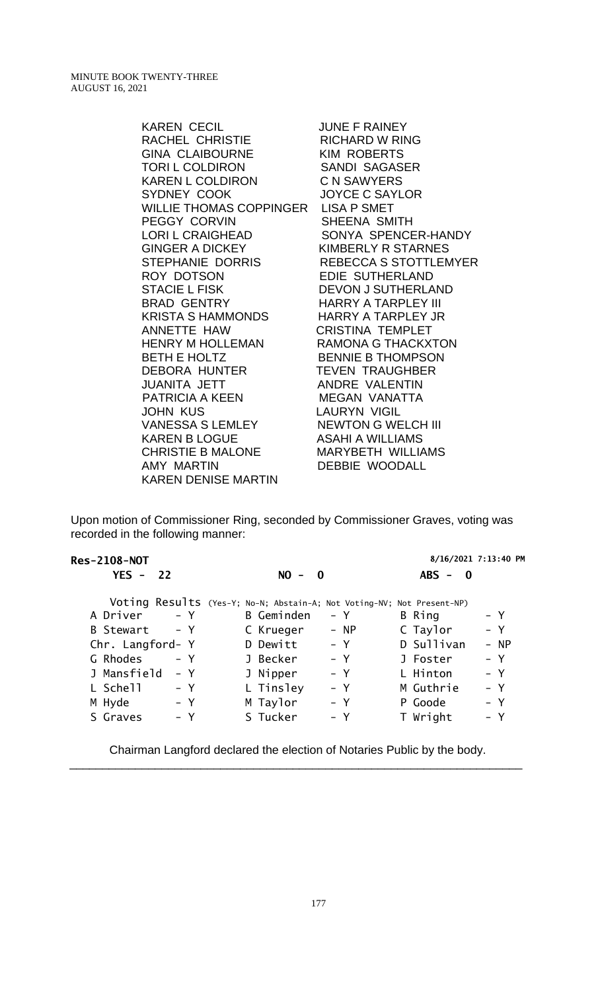> KAREN CECIL JUNE F RAINEY RACHEL CHRISTIE GINA CLAIBOURNE KIM ROBERTS TORI L COLDIRON SANDI SAGASER KAREN L COLDIRON C N SAWYERS SYDNEY COOK JOYCE C SAYLOR WILLIE THOMAS COPPINGER LISA P SMET PEGGY CORVIN SHEENA SMITH<br>LORI L CRAIGHEAD SONYA SPENCE SONYA SPENCER-HANDY GINGER A DICKEY KIMBERLY R STARNES STEPHANIE DORRIS REBECCA S STOTTLEMYER ROY DOTSON EDIE SUTHERLAND STACIE L FISK DEVON J SUTHERLAND BRAD GENTRY HARRY A TARPLEY III KRISTA S HAMMONDS HARRY A TARPLEY JR ANNETTE HAW CRISTINA TEMPLET HENRY M HOLLEMAN RAMONA G THACKXTON BETH E HOLTZ<br>DEBORA HUNTER TEVEN TRAUGHBER TEVEN TRAUGHBER JUANITA JETT ANDRE VALENTIN PATRICIA A KEEN MEGAN VANATTA JOHN KUS LAURYN VIGIL VANESSA S LEMLEY NEWTON G WELCH III KAREN B LOGUE ASAHI A WILLIAMS CHRISTIE B MALONE MARYBETH WILLIAMS AMY MARTIN DEBBIE WOODALL KAREN DENISE MARTIN

Upon motion of Commissioner Ring, seconded by Commissioner Graves, voting was recorded in the following manner:

| <b>Res-2108-NOT</b> |                                                                        | 8/16/2021 7:13:40 PM    |
|---------------------|------------------------------------------------------------------------|-------------------------|
| $YES - 22$          | $NO -$<br>$\mathbf{0}$                                                 | $ABS -$<br>$\mathbf{0}$ |
|                     | Voting Results (Yes-Y; No-N; Abstain-A; Not Voting-NV; Not Present-NP) |                         |
| $- Y$               | B Geminden                                                             | B Ring                  |
| A Driver            | – Y                                                                    | – Y                     |
| B Stewart           | $- NP$                                                                 | – Y                     |
| – Y                 | C Krueger                                                              | C Taylor                |
| Chr. Langford- Y    | – Y<br>D Dewitt                                                        | D Sullivan<br>$- NP$    |
| G Rhodes            | $- Y$                                                                  | $- Y$                   |
| – Y                 | J Becker                                                               | J Foster                |
| J Mansfield         | J Nipper                                                               | L Hinton                |
| $- Y$               | $- Y$                                                                  | $- Y$                   |
| L Schell            | L Tinsley                                                              | $- Y$                   |
| – Y                 | $- Y$                                                                  | M Guthrie               |
| M Hyde              | M Taylor                                                               | – Y                     |
| – Y                 | $- Y$                                                                  | P Goode                 |
| S Graves            | S Tucker                                                               | T Wright                |
| – Y                 | – Y                                                                    | – Y                     |
|                     |                                                                        |                         |

Chairman Langford declared the election of Notaries Public by the body. \_\_\_\_\_\_\_\_\_\_\_\_\_\_\_\_\_\_\_\_\_\_\_\_\_\_\_\_\_\_\_\_\_\_\_\_\_\_\_\_\_\_\_\_\_\_\_\_\_\_\_\_\_\_\_\_\_\_\_\_\_\_\_\_\_\_\_\_\_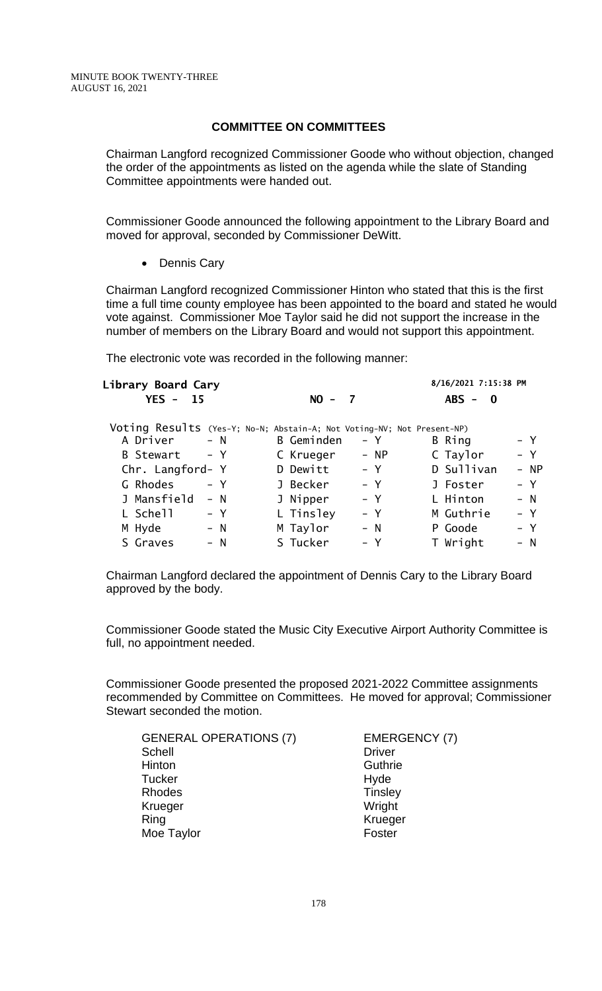### **COMMITTEE ON COMMITTEES**

Chairman Langford recognized Commissioner Goode who without objection, changed the order of the appointments as listed on the agenda while the slate of Standing Committee appointments were handed out.

Commissioner Goode announced the following appointment to the Library Board and moved for approval, seconded by Commissioner DeWitt.

• Dennis Cary

Chairman Langford recognized Commissioner Hinton who stated that this is the first time a full time county employee has been appointed to the board and stated he would vote against. Commissioner Moe Taylor said he did not support the increase in the number of members on the Library Board and would not support this appointment.

The electronic vote was recorded in the following manner:

| Library Board Cary        |                                                                        | 8/16/2021 7:15:38 PM        |
|---------------------------|------------------------------------------------------------------------|-----------------------------|
| $YES -$<br>15             | $NO -$<br>$\overline{z}$                                               | $ABS - 0$                   |
|                           | Voting Results (Yes-Y; No-N; Abstain-A; Not Voting-NV; Not Present-NP) |                             |
| A Driver<br>$- N$         | B Geminden                                                             | – Y<br>$- Y$<br>B Ring      |
| $- Y$<br><b>B</b> Stewart | C Krueger                                                              | C Taylor<br>$- Y$<br>$- NP$ |
| Chr. Langford- Y          | D Dewitt                                                               | D Sullivan<br>– Y<br>- NP   |
| G Rhodes<br>– Y           | J Becker                                                               | $- Y$<br>– Y<br>J Foster    |
| J Mansfield<br>$- N$      | J Nipper                                                               | L Hinton<br>– Y<br>$- N$    |
| L Schell<br>– Y           | L Tinsley                                                              | M Guthrie<br>$- Y$<br>– Y   |
| M Hyde<br>$- N$           | M Taylor                                                               | $- N$<br>P Goode<br>– Y     |
| S Graves<br>$- N$         | S Tucker                                                               | T Wright<br>– Y<br>$- N$    |

Chairman Langford declared the appointment of Dennis Cary to the Library Board approved by the body.

Commissioner Goode stated the Music City Executive Airport Authority Committee is full, no appointment needed.

Commissioner Goode presented the proposed 2021-2022 Committee assignments recommended by Committee on Committees. He moved for approval; Commissioner Stewart seconded the motion.

| <b>GENERAL OPERATIONS (7)</b> | <b>EMERGENCY (7)</b> |
|-------------------------------|----------------------|
| Schell                        | <b>Driver</b>        |
| Hinton                        | Guthrie              |
| <b>Tucker</b>                 | Hyde                 |
| Rhodes                        | <b>Tinsley</b>       |
| Krueger                       | Wright               |
| Ring                          | Krueger              |
| Moe Taylor                    | Foster               |
|                               |                      |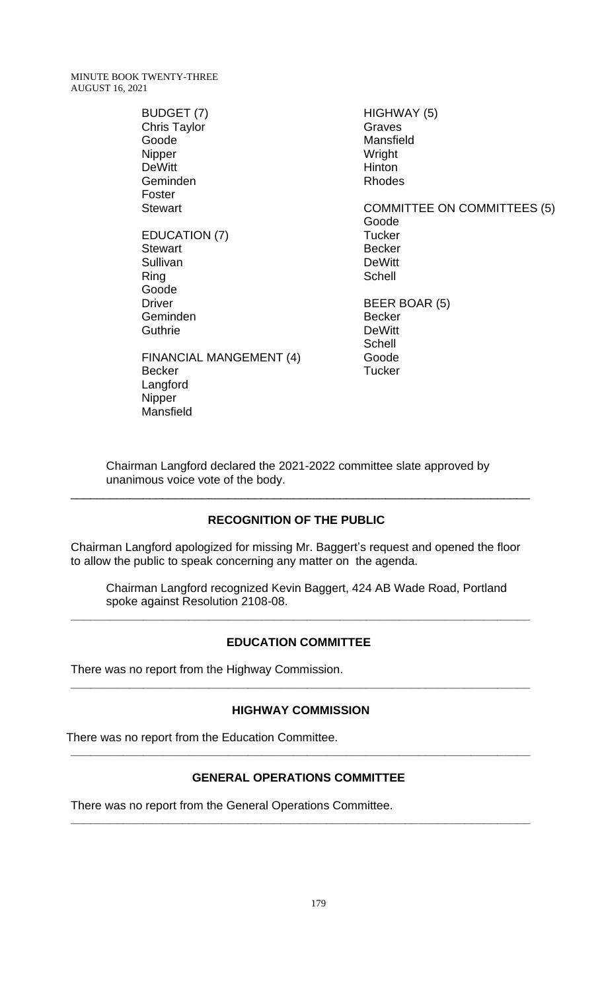> BUDGET (7) Chris Taylor Goode Nipper DeWitt Geminden Foster **Stewart** EDUCATION (7) **Stewart** Sullivan Ring Goode Driver Geminden **Guthrie** FINANCIAL MANGEMENT (4) Becker Langford Nipper

Mansfield

HIGHWAY (5) Graves Mansfield Wright Hinton Rhodes COMMITTEE ON COMMITTEES (5) Goode **Tucker** Becker **DeWitt Schell** BEER BOAR (5) Becker DeWitt **Schell** Goode **Tucker** 

Chairman Langford declared the 2021-2022 committee slate approved by unanimous voice vote of the body.

\_\_\_\_\_\_\_\_\_\_\_\_\_\_\_\_\_\_\_\_\_\_\_\_\_\_\_\_\_\_\_\_\_\_\_\_\_\_\_\_\_\_\_\_\_\_\_\_\_\_\_\_\_\_\_\_\_\_\_\_\_\_\_\_\_\_\_\_\_\_

# **RECOGNITION OF THE PUBLIC**

Chairman Langford apologized for missing Mr. Baggert's request and opened the floor to allow the public to speak concerning any matter on the agenda.

Chairman Langford recognized Kevin Baggert, 424 AB Wade Road, Portland spoke against Resolution 2108-08.

### **EDUCATION COMMITTEE**

**\_\_\_\_\_\_\_\_\_\_\_\_\_\_\_\_\_\_\_\_\_\_\_\_\_\_\_\_\_\_\_\_\_\_\_\_\_\_\_\_\_\_\_\_\_\_\_\_\_\_\_\_\_\_\_\_\_\_\_\_\_\_\_\_\_\_\_\_\_\_**

There was no report from the Highway Commission.

#### **HIGHWAY COMMISSION**

**\_\_\_\_\_\_\_\_\_\_\_\_\_\_\_\_\_\_\_\_\_\_\_\_\_\_\_\_\_\_\_\_\_\_\_\_\_\_\_\_\_\_\_\_\_\_\_\_\_\_\_\_\_\_\_\_\_\_\_\_\_\_\_\_\_\_\_\_\_\_**

There was no report from the Education Committee. **\_\_\_\_\_\_\_\_\_\_\_\_\_\_\_\_\_\_\_\_\_\_\_\_\_\_\_\_\_\_\_\_\_\_\_\_\_\_\_\_\_\_\_\_\_\_\_\_\_\_\_\_\_\_\_\_\_\_\_\_\_\_\_\_\_\_\_\_\_\_**

# **GENERAL OPERATIONS COMMITTEE**

There was no report from the General Operations Committee. **\_\_\_\_\_\_\_\_\_\_\_\_\_\_\_\_\_\_\_\_\_\_\_\_\_\_\_\_\_\_\_\_\_\_\_\_\_\_\_\_\_\_\_\_\_\_\_\_\_\_\_\_\_\_\_\_\_\_\_\_\_\_\_\_\_\_\_\_\_\_**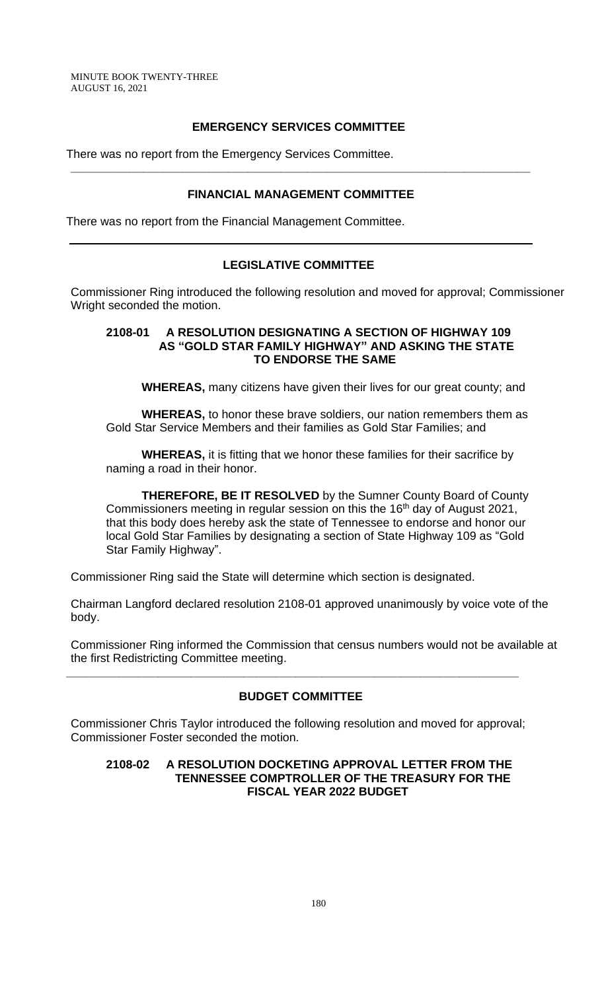# **EMERGENCY SERVICES COMMITTEE**

There was no report from the Emergency Services Committee.

# **FINANCIAL MANAGEMENT COMMITTEE**

**\_\_\_\_\_\_\_\_\_\_\_\_\_\_\_\_\_\_\_\_\_\_\_\_\_\_\_\_\_\_\_\_\_\_\_\_\_\_\_\_\_\_\_\_\_\_\_\_\_\_\_\_\_\_\_\_\_\_\_\_\_\_\_\_\_\_\_\_\_\_**

There was no report from the Financial Management Committee.

# **LEGISLATIVE COMMITTEE**

Commissioner Ring introduced the following resolution and moved for approval; Commissioner Wright seconded the motion.

### **2108-01 A RESOLUTION DESIGNATING A SECTION OF HIGHWAY 109 AS "GOLD STAR FAMILY HIGHWAY" AND ASKING THE STATE TO ENDORSE THE SAME**

**WHEREAS,** many citizens have given their lives for our great county; and

**WHEREAS,** to honor these brave soldiers, our nation remembers them as Gold Star Service Members and their families as Gold Star Families; and

**WHEREAS,** it is fitting that we honor these families for their sacrifice by naming a road in their honor.

**THEREFORE, BE IT RESOLVED** by the Sumner County Board of County Commissioners meeting in regular session on this the 16<sup>th</sup> day of August 2021, that this body does hereby ask the state of Tennessee to endorse and honor our local Gold Star Families by designating a section of State Highway 109 as "Gold Star Family Highway".

Commissioner Ring said the State will determine which section is designated.

Chairman Langford declared resolution 2108-01 approved unanimously by voice vote of the body.

Commissioner Ring informed the Commission that census numbers would not be available at the first Redistricting Committee meeting.

# **BUDGET COMMITTEE**

**\_\_\_\_\_\_\_\_\_\_\_\_\_\_\_\_\_\_\_\_\_\_\_\_\_\_\_\_\_\_\_\_\_\_\_\_\_\_\_\_\_\_\_\_\_\_\_\_\_\_\_\_\_\_\_\_\_\_\_\_\_\_\_\_\_\_\_\_\_**

Commissioner Chris Taylor introduced the following resolution and moved for approval; Commissioner Foster seconded the motion.

### **2108-02 A RESOLUTION DOCKETING APPROVAL LETTER FROM THE TENNESSEE COMPTROLLER OF THE TREASURY FOR THE FISCAL YEAR 2022 BUDGET**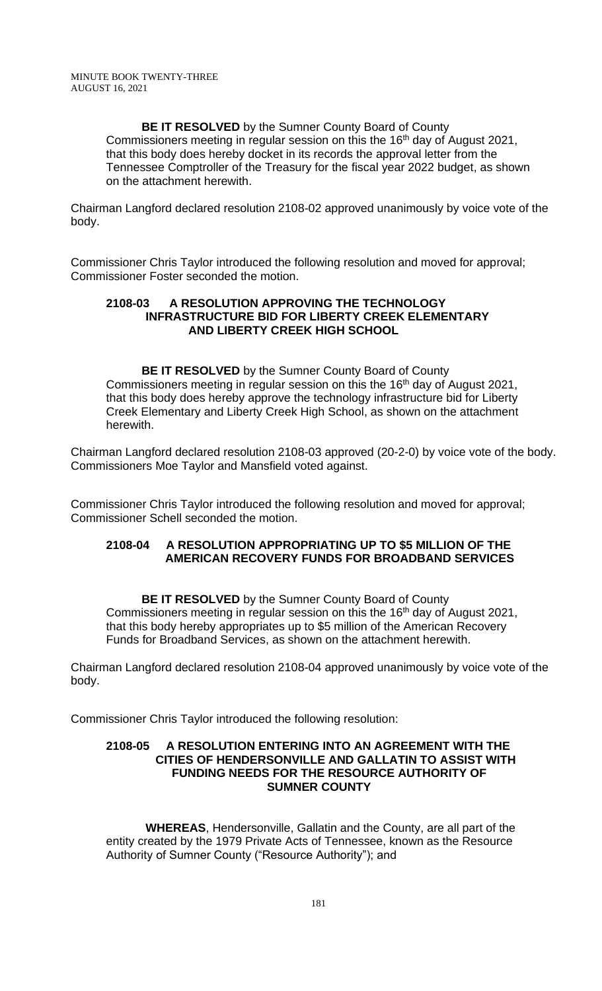# **BE IT RESOLVED** by the Sumner County Board of County

Commissioners meeting in regular session on this the 16<sup>th</sup> day of August 2021, that this body does hereby docket in its records the approval letter from the Tennessee Comptroller of the Treasury for the fiscal year 2022 budget, as shown on the attachment herewith.

Chairman Langford declared resolution 2108-02 approved unanimously by voice vote of the body.

Commissioner Chris Taylor introduced the following resolution and moved for approval; Commissioner Foster seconded the motion.

### **2108-03 A RESOLUTION APPROVING THE TECHNOLOGY INFRASTRUCTURE BID FOR LIBERTY CREEK ELEMENTARY AND LIBERTY CREEK HIGH SCHOOL**

**BE IT RESOLVED** by the Sumner County Board of County Commissioners meeting in regular session on this the 16th day of August 2021, that this body does hereby approve the technology infrastructure bid for Liberty Creek Elementary and Liberty Creek High School, as shown on the attachment herewith.

Chairman Langford declared resolution 2108-03 approved (20-2-0) by voice vote of the body. Commissioners Moe Taylor and Mansfield voted against.

Commissioner Chris Taylor introduced the following resolution and moved for approval; Commissioner Schell seconded the motion.

### **2108-04 A RESOLUTION APPROPRIATING UP TO \$5 MILLION OF THE AMERICAN RECOVERY FUNDS FOR BROADBAND SERVICES**

**BE IT RESOLVED** by the Sumner County Board of County Commissioners meeting in regular session on this the 16<sup>th</sup> day of August 2021, that this body hereby appropriates up to \$5 million of the American Recovery Funds for Broadband Services, as shown on the attachment herewith.

Chairman Langford declared resolution 2108-04 approved unanimously by voice vote of the body.

Commissioner Chris Taylor introduced the following resolution:

### **2108-05 A RESOLUTION ENTERING INTO AN AGREEMENT WITH THE CITIES OF HENDERSONVILLE AND GALLATIN TO ASSIST WITH FUNDING NEEDS FOR THE RESOURCE AUTHORITY OF SUMNER COUNTY**

 **WHEREAS**, Hendersonville, Gallatin and the County, are all part of the entity created by the 1979 Private Acts of Tennessee, known as the Resource Authority of Sumner County ("Resource Authority"); and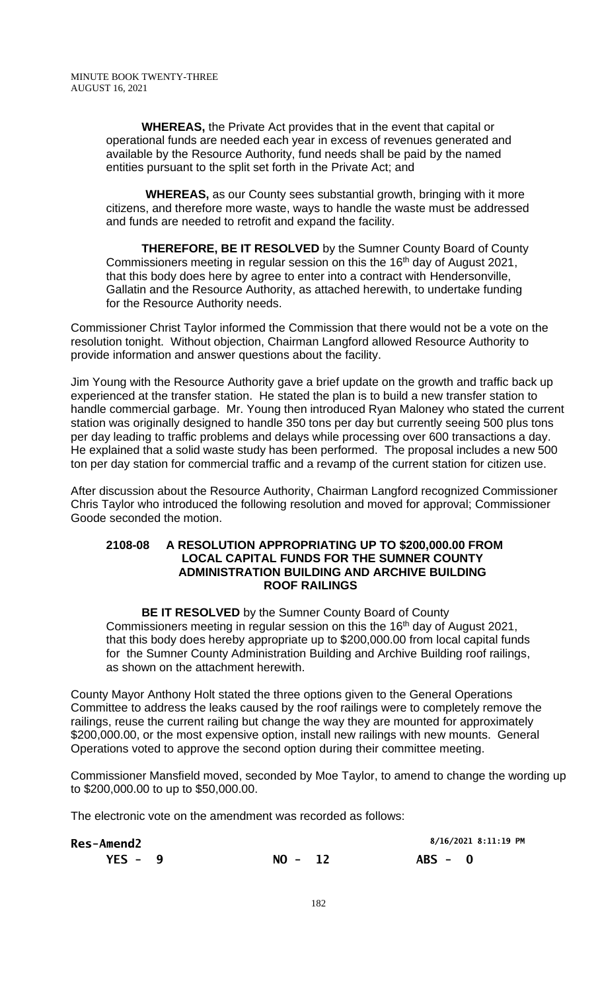**WHEREAS,** the Private Act provides that in the event that capital or operational funds are needed each year in excess of revenues generated and available by the Resource Authority, fund needs shall be paid by the named entities pursuant to the split set forth in the Private Act; and

 **WHEREAS,** as our County sees substantial growth, bringing with it more citizens, and therefore more waste, ways to handle the waste must be addressed and funds are needed to retrofit and expand the facility.

**THEREFORE, BE IT RESOLVED** by the Sumner County Board of County Commissioners meeting in regular session on this the 16<sup>th</sup> day of August 2021, that this body does here by agree to enter into a contract with Hendersonville, Gallatin and the Resource Authority, as attached herewith, to undertake funding for the Resource Authority needs.

Commissioner Christ Taylor informed the Commission that there would not be a vote on the resolution tonight. Without objection, Chairman Langford allowed Resource Authority to provide information and answer questions about the facility.

Jim Young with the Resource Authority gave a brief update on the growth and traffic back up experienced at the transfer station. He stated the plan is to build a new transfer station to handle commercial garbage. Mr. Young then introduced Ryan Maloney who stated the current station was originally designed to handle 350 tons per day but currently seeing 500 plus tons per day leading to traffic problems and delays while processing over 600 transactions a day. He explained that a solid waste study has been performed. The proposal includes a new 500 ton per day station for commercial traffic and a revamp of the current station for citizen use.

After discussion about the Resource Authority, Chairman Langford recognized Commissioner Chris Taylor who introduced the following resolution and moved for approval; Commissioner Goode seconded the motion.

### **2108-08 A RESOLUTION APPROPRIATING UP TO \$200,000.00 FROM LOCAL CAPITAL FUNDS FOR THE SUMNER COUNTY ADMINISTRATION BUILDING AND ARCHIVE BUILDING ROOF RAILINGS**

**BE IT RESOLVED** by the Sumner County Board of County Commissioners meeting in regular session on this the 16<sup>th</sup> day of August 2021, that this body does hereby appropriate up to \$200,000.00 from local capital funds for the Sumner County Administration Building and Archive Building roof railings, as shown on the attachment herewith.

County Mayor Anthony Holt stated the three options given to the General Operations Committee to address the leaks caused by the roof railings were to completely remove the railings, reuse the current railing but change the way they are mounted for approximately \$200,000.00, or the most expensive option, install new railings with new mounts. General Operations voted to approve the second option during their committee meeting.

Commissioner Mansfield moved, seconded by Moe Taylor, to amend to change the wording up to \$200,000.00 to up to \$50,000.00.

The electronic vote on the amendment was recorded as follows:

| <b>Res-Amend2</b> |           | 8/16/2021 8:11:19 PM |
|-------------------|-----------|----------------------|
| $YES - 9$         | $NO - 12$ | $ABS - 0$            |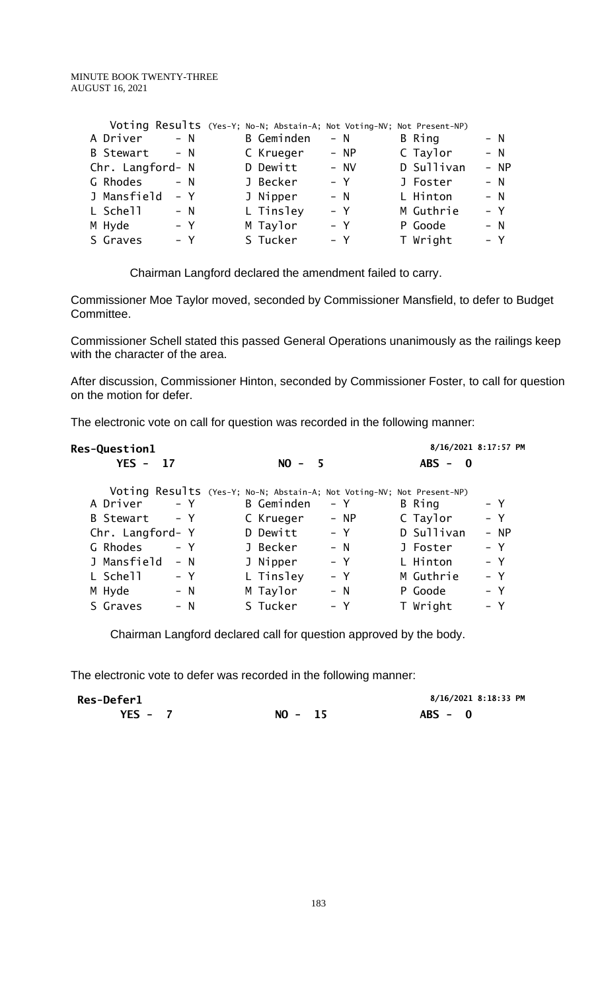|                  |       | Voting Results (Yes-Y; No-N; Abstain-A; Not Voting-NV; Not Present-NP) |       |        |            |        |
|------------------|-------|------------------------------------------------------------------------|-------|--------|------------|--------|
| A Driver         | $- N$ | <b>B</b> Geminden                                                      | $- N$ |        | B Ring     | $- N$  |
| <b>B</b> Stewart | $- N$ | C Krueger                                                              |       | $- NP$ | C Taylor   | $- N$  |
| Chr. Langford- N |       | D Dewitt                                                               |       | $- NV$ | D Sullivan | $- NP$ |
| G Rhodes         | $- N$ | J Becker                                                               | – Y   |        | J Foster   | $- N$  |
| J Mansfield      | – Y   | J Nipper                                                               | $- N$ |        | L Hinton   | $- N$  |
| L Schell         | $- N$ | L Tinsley                                                              | – Y   |        | M Guthrie  | $- Y$  |
| M Hyde           | – Y   | M Taylor                                                               | – Y   |        | P Goode    | $- N$  |
| S Graves         | $- Y$ | S Tucker                                                               | $- Y$ |        | T Wright   | $- Y$  |
|                  |       |                                                                        |       |        |            |        |

Chairman Langford declared the amendment failed to carry.

Commissioner Moe Taylor moved, seconded by Commissioner Mansfield, to defer to Budget Committee.

Commissioner Schell stated this passed General Operations unanimously as the railings keep with the character of the area.

After discussion, Commissioner Hinton, seconded by Commissioner Foster, to call for question on the motion for defer.

The electronic vote on call for question was recorded in the following manner:

| <b>Res-Question1</b> |                                                                        | 8/16/2021 8:17:57 PM |
|----------------------|------------------------------------------------------------------------|----------------------|
| <b>YES - 17</b>      | $NO -$<br>- 5                                                          | $ABS - 0$            |
|                      | Voting Results (Yes-Y; No-N; Abstain-A; Not Voting-NV; Not Present-NP) |                      |
| A Driver             | B Geminden                                                             | B Ring               |
| $- Y$                | – Y                                                                    | – Y                  |
| $- Y$                | - NP                                                                   | $- Y$                |
| B Stewart            | C Krueger                                                              | C Taylor             |
| Chr. Langford- Y     | $- Y$<br>D Dewitt                                                      | D Sullivan<br>$- NP$ |
| G Rhodes             | J Becker                                                               | $- Y$                |
| – Y                  | $- N$                                                                  | J Foster             |
| J Mansfield          | J Nipper                                                               | L Hinton             |
| $- N$                | – Y                                                                    | – Y                  |
| L Schell             | L Tinsley                                                              | $- Y$                |
| – Y                  | $- Y$                                                                  | M Guthrie            |
| M Hyde               | M Taylor                                                               | $- Y$                |
| $- N$                | $- N$                                                                  | P Goode              |
| S Graves             | S Tucker                                                               | T Wright             |
| $- N$                | $- Y$                                                                  | - Y                  |

Chairman Langford declared call for question approved by the body.

The electronic vote to defer was recorded in the following manner:

| <b>Res-Deferl</b> |           | 8/16/2021 8:18:33 PM |
|-------------------|-----------|----------------------|
| YES - $7$         | $NO - 15$ | $ABS - 0$            |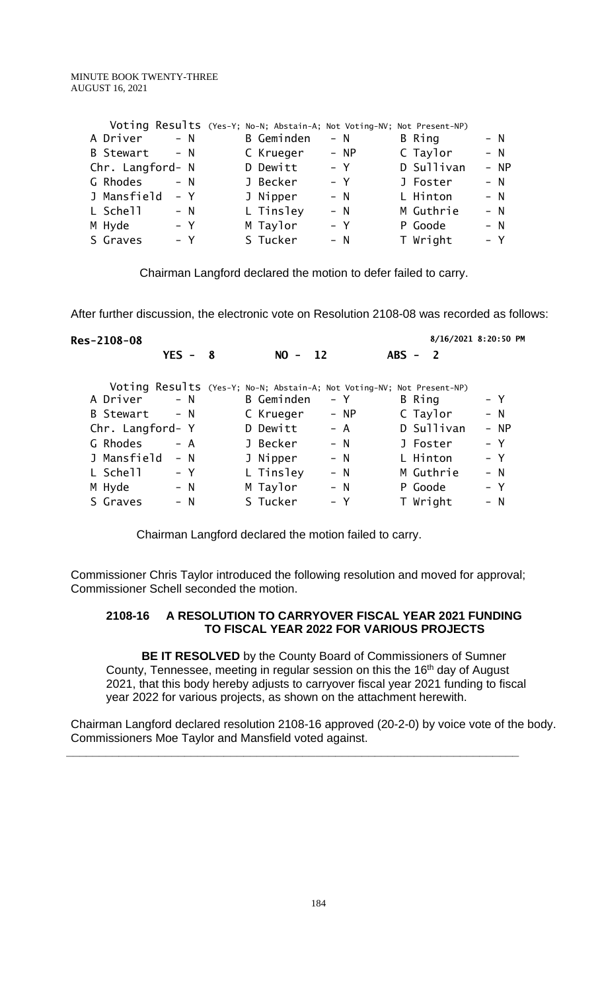|                  |       | Voting Results (Yes-Y; No-N; Abstain-A; Not Voting-NV; Not Present-NP) |       |      |            |        |
|------------------|-------|------------------------------------------------------------------------|-------|------|------------|--------|
| A Driver         | $- N$ | <b>B</b> Geminden                                                      | $- N$ |      | B Ring     | $- N$  |
| <b>B</b> Stewart | $- N$ | C Krueger                                                              |       | - NP | C Taylor   | $- N$  |
| Chr. Langford- N |       | D Dewitt                                                               |       | – Y  | D Sullivan | $- NP$ |
| G Rhodes         | $- N$ | J Becker                                                               | – Y   |      | J Foster   | $- N$  |
| J Mansfield      | – Y   | J Nipper                                                               | $- N$ |      | L Hinton   | $- N$  |
| L Schell         | $- N$ | L Tinsley                                                              | $- N$ |      | M Guthrie  | $- N$  |
| M Hyde           | – Y   | M Taylor                                                               | $- Y$ |      | P Goode    | $- N$  |
| S Graves         | $- Y$ | S Tucker                                                               | – N   |      | T Wright   | $- Y$  |
|                  |       |                                                                        |       |      |            |        |

Chairman Langford declared the motion to defer failed to carry.

After further discussion, the electronic vote on Resolution 2108-08 was recorded as follows:

|                      |           |                                                                                                         |                                     | 8/16/2021 8:20:50 PM                                                   |
|----------------------|-----------|---------------------------------------------------------------------------------------------------------|-------------------------------------|------------------------------------------------------------------------|
|                      | $NO -$    |                                                                                                         | $ABS -$<br>$\overline{\phantom{a}}$ |                                                                        |
|                      |           |                                                                                                         |                                     |                                                                        |
| $- N$                |           | – Y                                                                                                     | B Ring                              | – Y                                                                    |
| $- N$                |           | - NP                                                                                                    | C Taylor                            | $- N$                                                                  |
| Chr. Langford- Y     |           | – A                                                                                                     | D Sullivan                          | - NP                                                                   |
| – A                  |           | $- N$                                                                                                   | J Foster                            | – Y                                                                    |
| J Mansfield<br>$- N$ |           | $- N$                                                                                                   | L Hinton                            | – Y                                                                    |
| – Y                  |           | – N                                                                                                     | M Guthrie                           | $- N$                                                                  |
| – N                  |           | – N                                                                                                     | P Goode                             | – Y                                                                    |
| – N                  |           | – Y                                                                                                     | T Wright                            | – N                                                                    |
|                      | $YES - 8$ | <b>B</b> Geminden<br>C Krueger<br>D Dewitt<br>J Becker<br>J Nipper<br>L Tinsley<br>M Taylor<br>S Tucker | $\overline{12}$                     | Voting Results (Yes-Y; No-N; Abstain-A; Not Voting-NV; Not Present-NP) |

Chairman Langford declared the motion failed to carry.

Commissioner Chris Taylor introduced the following resolution and moved for approval; Commissioner Schell seconded the motion.

### **2108-16 A RESOLUTION TO CARRYOVER FISCAL YEAR 2021 FUNDING TO FISCAL YEAR 2022 FOR VARIOUS PROJECTS**

**BE IT RESOLVED** by the County Board of Commissioners of Sumner County, Tennessee, meeting in regular session on this the 16<sup>th</sup> day of August 2021, that this body hereby adjusts to carryover fiscal year 2021 funding to fiscal year 2022 for various projects, as shown on the attachment herewith.

Chairman Langford declared resolution 2108-16 approved (20-2-0) by voice vote of the body. Commissioners Moe Taylor and Mansfield voted against.

**\_\_\_\_\_\_\_\_\_\_\_\_\_\_\_\_\_\_\_\_\_\_\_\_\_\_\_\_\_\_\_\_\_\_\_\_\_\_\_\_\_\_\_\_\_\_\_\_\_\_\_\_\_\_\_\_\_\_\_\_\_\_\_\_\_\_\_\_\_**